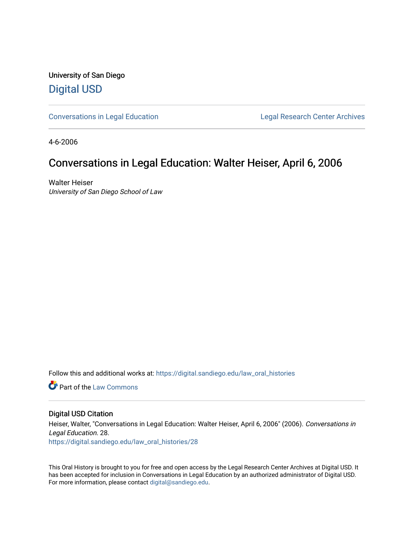University of San Diego [Digital USD](https://digital.sandiego.edu/)

[Conversations in Legal Education](https://digital.sandiego.edu/law_oral_histories) **Legal Research Center Archives** 

4-6-2006

### Conversations in Legal Education: Walter Heiser, April 6, 2006

Walter Heiser University of San Diego School of Law

Follow this and additional works at: [https://digital.sandiego.edu/law\\_oral\\_histories](https://digital.sandiego.edu/law_oral_histories?utm_source=digital.sandiego.edu%2Flaw_oral_histories%2F28&utm_medium=PDF&utm_campaign=PDFCoverPages) 

**C** Part of the [Law Commons](http://network.bepress.com/hgg/discipline/578?utm_source=digital.sandiego.edu%2Flaw_oral_histories%2F28&utm_medium=PDF&utm_campaign=PDFCoverPages)

### Digital USD Citation

Heiser, Walter, "Conversations in Legal Education: Walter Heiser, April 6, 2006" (2006). Conversations in Legal Education. 28. [https://digital.sandiego.edu/law\\_oral\\_histories/28](https://digital.sandiego.edu/law_oral_histories/28?utm_source=digital.sandiego.edu%2Flaw_oral_histories%2F28&utm_medium=PDF&utm_campaign=PDFCoverPages) 

This Oral History is brought to you for free and open access by the Legal Research Center Archives at Digital USD. It has been accepted for inclusion in Conversations in Legal Education by an authorized administrator of Digital USD. For more information, please contact [digital@sandiego.edu](mailto:digital@sandiego.edu).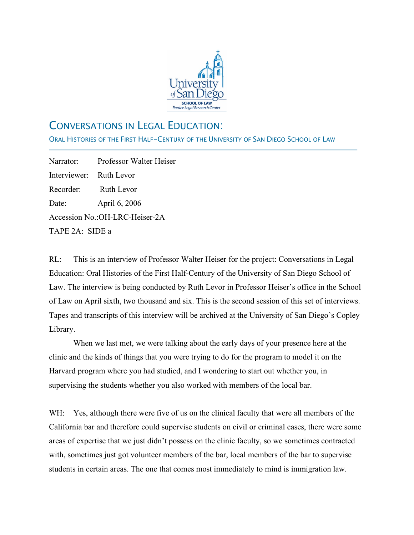

# CONVERSATIONS IN LEGAL EDUCATION:

ORAL HISTORIES OF THE FIRST HALF-CENTURY OF THE UNIVERSITY OF SAN DIEGO SCHOOL OF LAW

Narrator: Professor Walter Heiser Interviewer: Ruth Levor Recorder: Ruth Levor Date: April 6, 2006 Accession No.:OH-LRC-Heiser-2A TAPE 2A: SIDE a

j

RL: This is an interview of Professor Walter Heiser for the project: Conversations in Legal Education: Oral Histories of the First Half-Century of the University of San Diego School of Law. The interview is being conducted by Ruth Levor in Professor Heiser's office in the School of Law on April sixth, two thousand and six. This is the second session of this set of interviews. Tapes and transcripts of this interview will be archived at the University of San Diego's Copley Library.

When we last met, we were talking about the early days of your presence here at the clinic and the kinds of things that you were trying to do for the program to model it on the Harvard program where you had studied, and I wondering to start out whether you, in supervising the students whether you also worked with members of the local bar.

WH: Yes, although there were five of us on the clinical faculty that were all members of the California bar and therefore could supervise students on civil or criminal cases, there were some areas of expertise that we just didn't possess on the clinic faculty, so we sometimes contracted with, sometimes just got volunteer members of the bar, local members of the bar to supervise students in certain areas. The one that comes most immediately to mind is immigration law.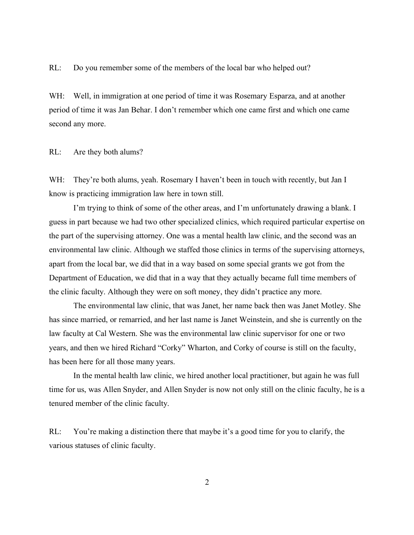RL: Do you remember some of the members of the local bar who helped out?

WH: Well, in immigration at one period of time it was Rosemary Esparza, and at another period of time it was Jan Behar. I don't remember which one came first and which one came second any more.

RL: Are they both alums?

WH: They're both alums, yeah. Rosemary I haven't been in touch with recently, but Jan I know is practicing immigration law here in town still.

I'm trying to think of some of the other areas, and I'm unfortunately drawing a blank. I guess in part because we had two other specialized clinics, which required particular expertise on the part of the supervising attorney. One was a mental health law clinic, and the second was an environmental law clinic. Although we staffed those clinics in terms of the supervising attorneys, apart from the local bar, we did that in a way based on some special grants we got from the Department of Education, we did that in a way that they actually became full time members of the clinic faculty. Although they were on soft money, they didn't practice any more.

The environmental law clinic, that was Janet, her name back then was Janet Motley. She has since married, or remarried, and her last name is Janet Weinstein, and she is currently on the law faculty at Cal Western. She was the environmental law clinic supervisor for one or two years, and then we hired Richard "Corky" Wharton, and Corky of course is still on the faculty, has been here for all those many years.

In the mental health law clinic, we hired another local practitioner, but again he was full time for us, was Allen Snyder, and Allen Snyder is now not only still on the clinic faculty, he is a tenured member of the clinic faculty.

RL: You're making a distinction there that maybe it's a good time for you to clarify, the various statuses of clinic faculty.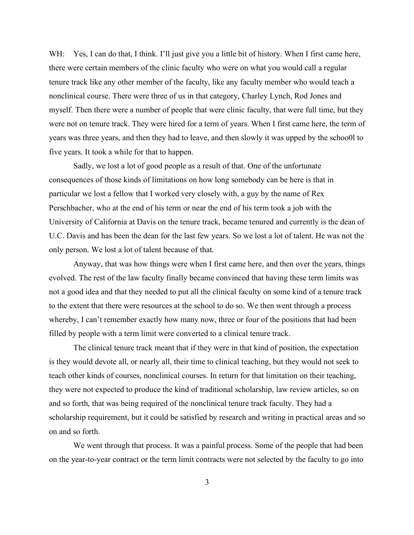WH: Yes, I can do that, I think. I'll just give you a little bit of history. When I first came here, there were certain members of the clinic faculty who were on what you would call a regular tenure track like any other member of the faculty, like any faculty member who would teach a nonclinical course. There were three of us in that category, Charley Lynch, Rod Jones and myself. Then there were a number of people that were clinic faculty, that were full time, but they were not on tenure track. They were hired for a term of years. When I first came here, the term of years was three years, and then they had to leave, and then slowly it was upped by the schoo0l to five years. It took a while for that to happen.

Sadly, we lost a lot of good people as a result of that. One of the unfortunate consequences of those kinds of limitations on how long somebody can be here is that in particular we lost a fellow that I worked very closely with, a guy by the name of Rex Perschbacher, who at the end of his term or near the end of his term took a job with the University of California at Davis on the tenure track, became tenured and currently is the dean of U.C. Davis and has been the dean for the last few years. So we lost a lot of talent. He was not the only person. We lost a lot of talent because of that.

Anyway, that was how things were when I first came here, and then over the years, things evolved. The rest of the law faculty finally became convinced that having these term limits was not a good idea and that they needed to put all the clinical faculty on some kind of a tenure track to the extent that there were resources at the school to do so. We then went through a process whereby, I can't remember exactly how many now, three or four of the positions that had been filled by people with a term limit were converted to a clinical tenure track.

The clinical tenure track meant that if they were in that kind of position, the expectation is they would devote all, or nearly all, their time to clinical teaching, but they would not seek to teach other kinds of courses, nonclinical courses. In return for that limitation on their teaching, they were not expected to produce the kind of traditional scholarship, law review articles, so on and so forth, that was being required of the nonclinical tenure track faculty. They had a scholarship requirement, but it could be satisfied by research and writing in practical areas and so on and so forth.

We went through that process. It was a painful process. Some of the people that had been on the year-to-year contract or the term limit contracts were not selected by the faculty to go into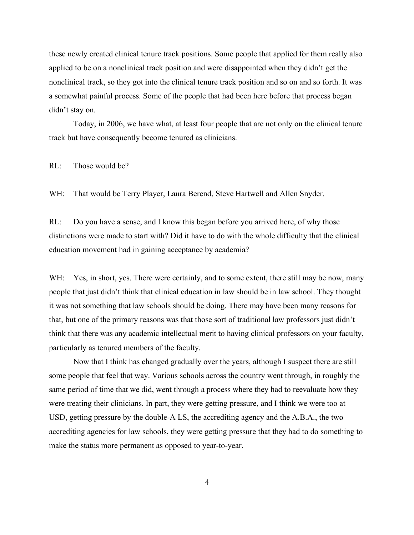these newly created clinical tenure track positions. Some people that applied for them really also applied to be on a nonclinical track position and were disappointed when they didn't get the nonclinical track, so they got into the clinical tenure track position and so on and so forth. It was a somewhat painful process. Some of the people that had been here before that process began didn't stay on.

Today, in 2006, we have what, at least four people that are not only on the clinical tenure track but have consequently become tenured as clinicians.

RL: Those would be?

WH: That would be Terry Player, Laura Berend, Steve Hartwell and Allen Snyder.

RL: Do you have a sense, and I know this began before you arrived here, of why those distinctions were made to start with? Did it have to do with the whole difficulty that the clinical education movement had in gaining acceptance by academia?

WH: Yes, in short, yes. There were certainly, and to some extent, there still may be now, many people that just didn't think that clinical education in law should be in law school. They thought it was not something that law schools should be doing. There may have been many reasons for that, but one of the primary reasons was that those sort of traditional law professors just didn't think that there was any academic intellectual merit to having clinical professors on your faculty, particularly as tenured members of the faculty.

Now that I think has changed gradually over the years, although I suspect there are still some people that feel that way. Various schools across the country went through, in roughly the same period of time that we did, went through a process where they had to reevaluate how they were treating their clinicians. In part, they were getting pressure, and I think we were too at USD, getting pressure by the double-A LS, the accrediting agency and the A.B.A., the two accrediting agencies for law schools, they were getting pressure that they had to do something to make the status more permanent as opposed to year-to-year.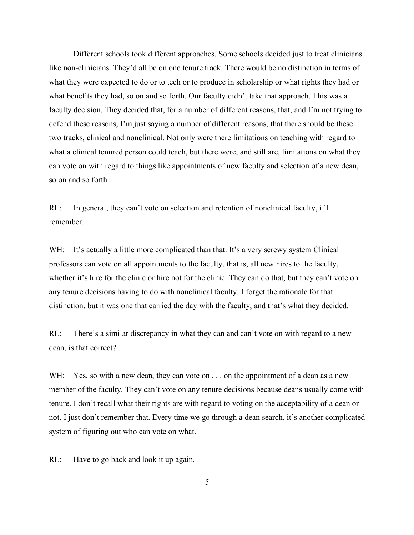Different schools took different approaches. Some schools decided just to treat clinicians like non-clinicians. They'd all be on one tenure track. There would be no distinction in terms of what they were expected to do or to tech or to produce in scholarship or what rights they had or what benefits they had, so on and so forth. Our faculty didn't take that approach. This was a faculty decision. They decided that, for a number of different reasons, that, and I'm not trying to defend these reasons, I'm just saying a number of different reasons, that there should be these two tracks, clinical and nonclinical. Not only were there limitations on teaching with regard to what a clinical tenured person could teach, but there were, and still are, limitations on what they can vote on with regard to things like appointments of new faculty and selection of a new dean, so on and so forth.

RL: In general, they can't vote on selection and retention of nonclinical faculty, if I remember.

WH: It's actually a little more complicated than that. It's a very screwy system Clinical professors can vote on all appointments to the faculty, that is, all new hires to the faculty, whether it's hire for the clinic or hire not for the clinic. They can do that, but they can't vote on any tenure decisions having to do with nonclinical faculty. I forget the rationale for that distinction, but it was one that carried the day with the faculty, and that's what they decided.

RL: There's a similar discrepancy in what they can and can't vote on with regard to a new dean, is that correct?

WH: Yes, so with a new dean, they can vote on . . . on the appointment of a dean as a new member of the faculty. They can't vote on any tenure decisions because deans usually come with tenure. I don't recall what their rights are with regard to voting on the acceptability of a dean or not. I just don't remember that. Every time we go through a dean search, it's another complicated system of figuring out who can vote on what.

RL: Have to go back and look it up again.

5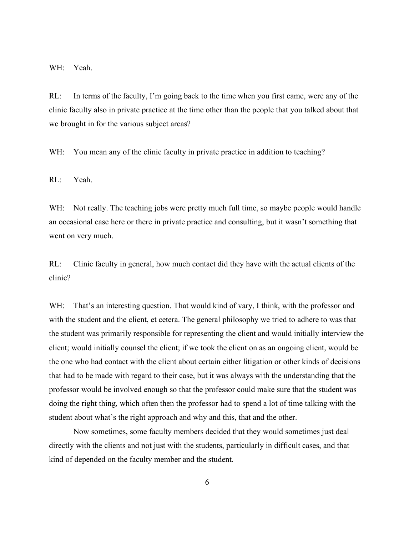WH: Yeah.

RL: In terms of the faculty, I'm going back to the time when you first came, were any of the clinic faculty also in private practice at the time other than the people that you talked about that we brought in for the various subject areas?

WH: You mean any of the clinic faculty in private practice in addition to teaching?

RL: Yeah.

WH: Not really. The teaching jobs were pretty much full time, so maybe people would handle an occasional case here or there in private practice and consulting, but it wasn't something that went on very much.

RL: Clinic faculty in general, how much contact did they have with the actual clients of the clinic?

WH: That's an interesting question. That would kind of vary, I think, with the professor and with the student and the client, et cetera. The general philosophy we tried to adhere to was that the student was primarily responsible for representing the client and would initially interview the client; would initially counsel the client; if we took the client on as an ongoing client, would be the one who had contact with the client about certain either litigation or other kinds of decisions that had to be made with regard to their case, but it was always with the understanding that the professor would be involved enough so that the professor could make sure that the student was doing the right thing, which often then the professor had to spend a lot of time talking with the student about what's the right approach and why and this, that and the other.

Now sometimes, some faculty members decided that they would sometimes just deal directly with the clients and not just with the students, particularly in difficult cases, and that kind of depended on the faculty member and the student.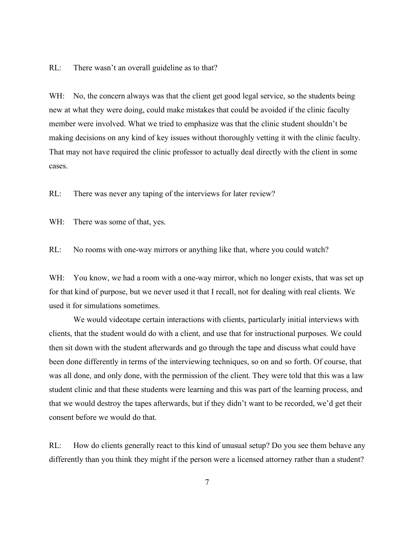RL: There wasn't an overall guideline as to that?

WH: No, the concern always was that the client get good legal service, so the students being new at what they were doing, could make mistakes that could be avoided if the clinic faculty member were involved. What we tried to emphasize was that the clinic student shouldn't be making decisions on any kind of key issues without thoroughly vetting it with the clinic faculty. That may not have required the clinic professor to actually deal directly with the client in some cases.

RL: There was never any taping of the interviews for later review?

WH: There was some of that, yes.

RL: No rooms with one-way mirrors or anything like that, where you could watch?

WH: You know, we had a room with a one-way mirror, which no longer exists, that was set up for that kind of purpose, but we never used it that I recall, not for dealing with real clients. We used it for simulations sometimes.

We would videotape certain interactions with clients, particularly initial interviews with clients, that the student would do with a client, and use that for instructional purposes. We could then sit down with the student afterwards and go through the tape and discuss what could have been done differently in terms of the interviewing techniques, so on and so forth. Of course, that was all done, and only done, with the permission of the client. They were told that this was a law student clinic and that these students were learning and this was part of the learning process, and that we would destroy the tapes afterwards, but if they didn't want to be recorded, we'd get their consent before we would do that.

RL: How do clients generally react to this kind of unusual setup? Do you see them behave any differently than you think they might if the person were a licensed attorney rather than a student?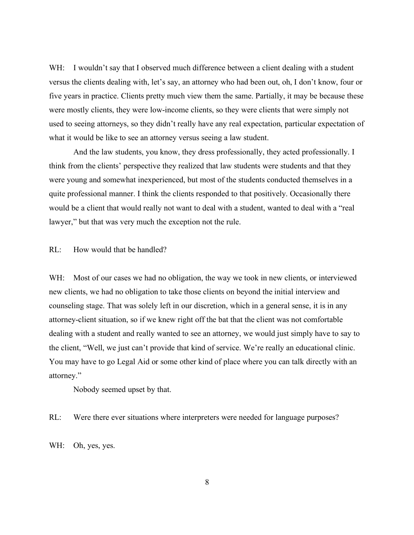WH: I wouldn't say that I observed much difference between a client dealing with a student versus the clients dealing with, let's say, an attorney who had been out, oh, I don't know, four or five years in practice. Clients pretty much view them the same. Partially, it may be because these were mostly clients, they were low-income clients, so they were clients that were simply not used to seeing attorneys, so they didn't really have any real expectation, particular expectation of what it would be like to see an attorney versus seeing a law student.

And the law students, you know, they dress professionally, they acted professionally. I think from the clients' perspective they realized that law students were students and that they were young and somewhat inexperienced, but most of the students conducted themselves in a quite professional manner. I think the clients responded to that positively. Occasionally there would be a client that would really not want to deal with a student, wanted to deal with a "real lawyer," but that was very much the exception not the rule.

RL: How would that be handled?

WH: Most of our cases we had no obligation, the way we took in new clients, or interviewed new clients, we had no obligation to take those clients on beyond the initial interview and counseling stage. That was solely left in our discretion, which in a general sense, it is in any attorney-client situation, so if we knew right off the bat that the client was not comfortable dealing with a student and really wanted to see an attorney, we would just simply have to say to the client, "Well, we just can't provide that kind of service. We're really an educational clinic. You may have to go Legal Aid or some other kind of place where you can talk directly with an attorney."

Nobody seemed upset by that.

RL: Were there ever situations where interpreters were needed for language purposes?

WH: Oh, yes, yes.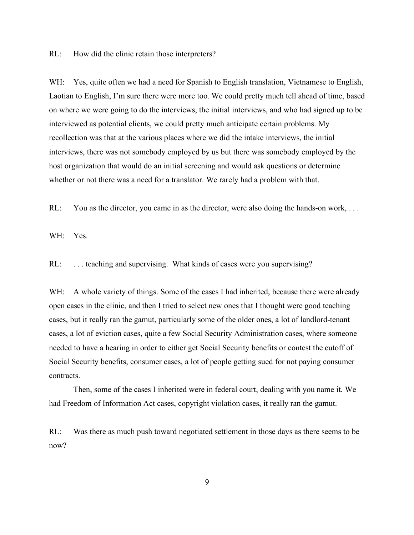RL: How did the clinic retain those interpreters?

WH: Yes, quite often we had a need for Spanish to English translation, Vietnamese to English, Laotian to English, I'm sure there were more too. We could pretty much tell ahead of time, based on where we were going to do the interviews, the initial interviews, and who had signed up to be interviewed as potential clients, we could pretty much anticipate certain problems. My recollection was that at the various places where we did the intake interviews, the initial interviews, there was not somebody employed by us but there was somebody employed by the host organization that would do an initial screening and would ask questions or determine whether or not there was a need for a translator. We rarely had a problem with that.

RL: You as the director, you came in as the director, were also doing the hands-on work, ...

WH: Yes.

RL: ... teaching and supervising. What kinds of cases were you supervising?

WH: A whole variety of things. Some of the cases I had inherited, because there were already open cases in the clinic, and then I tried to select new ones that I thought were good teaching cases, but it really ran the gamut, particularly some of the older ones, a lot of landlord-tenant cases, a lot of eviction cases, quite a few Social Security Administration cases, where someone needed to have a hearing in order to either get Social Security benefits or contest the cutoff of Social Security benefits, consumer cases, a lot of people getting sued for not paying consumer contracts.

Then, some of the cases I inherited were in federal court, dealing with you name it. We had Freedom of Information Act cases, copyright violation cases, it really ran the gamut.

RL: Was there as much push toward negotiated settlement in those days as there seems to be now?

9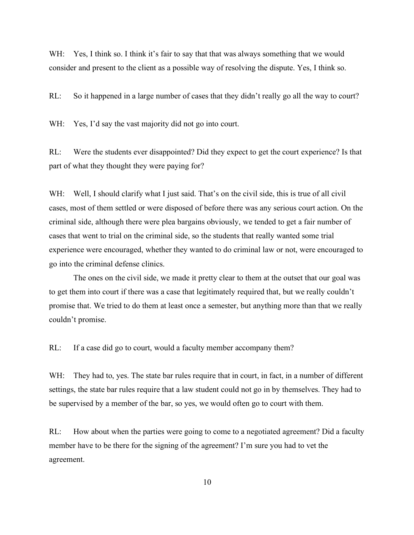WH: Yes, I think so. I think it's fair to say that that was always something that we would consider and present to the client as a possible way of resolving the dispute. Yes, I think so.

RL: So it happened in a large number of cases that they didn't really go all the way to court?

WH: Yes, I'd say the vast majority did not go into court.

RL: Were the students ever disappointed? Did they expect to get the court experience? Is that part of what they thought they were paying for?

WH: Well, I should clarify what I just said. That's on the civil side, this is true of all civil cases, most of them settled or were disposed of before there was any serious court action. On the criminal side, although there were plea bargains obviously, we tended to get a fair number of cases that went to trial on the criminal side, so the students that really wanted some trial experience were encouraged, whether they wanted to do criminal law or not, were encouraged to go into the criminal defense clinics.

The ones on the civil side, we made it pretty clear to them at the outset that our goal was to get them into court if there was a case that legitimately required that, but we really couldn't promise that. We tried to do them at least once a semester, but anything more than that we really couldn't promise.

RL: If a case did go to court, would a faculty member accompany them?

WH: They had to, yes. The state bar rules require that in court, in fact, in a number of different settings, the state bar rules require that a law student could not go in by themselves. They had to be supervised by a member of the bar, so yes, we would often go to court with them.

RL: How about when the parties were going to come to a negotiated agreement? Did a faculty member have to be there for the signing of the agreement? I'm sure you had to vet the agreement.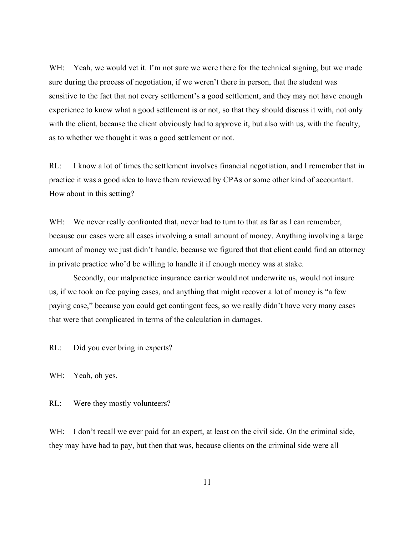WH: Yeah, we would vet it. I'm not sure we were there for the technical signing, but we made sure during the process of negotiation, if we weren't there in person, that the student was sensitive to the fact that not every settlement's a good settlement, and they may not have enough experience to know what a good settlement is or not, so that they should discuss it with, not only with the client, because the client obviously had to approve it, but also with us, with the faculty, as to whether we thought it was a good settlement or not.

RL: I know a lot of times the settlement involves financial negotiation, and I remember that in practice it was a good idea to have them reviewed by CPAs or some other kind of accountant. How about in this setting?

WH: We never really confronted that, never had to turn to that as far as I can remember, because our cases were all cases involving a small amount of money. Anything involving a large amount of money we just didn't handle, because we figured that that client could find an attorney in private practice who'd be willing to handle it if enough money was at stake.

Secondly, our malpractice insurance carrier would not underwrite us, would not insure us, if we took on fee paying cases, and anything that might recover a lot of money is "a few paying case," because you could get contingent fees, so we really didn't have very many cases that were that complicated in terms of the calculation in damages.

RL: Did you ever bring in experts?

WH: Yeah, oh yes.

RL: Were they mostly volunteers?

WH: I don't recall we ever paid for an expert, at least on the civil side. On the criminal side, they may have had to pay, but then that was, because clients on the criminal side were all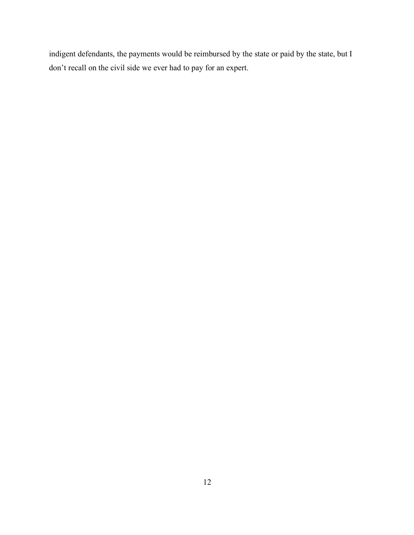indigent defendants, the payments would be reimbursed by the state or paid by the state, but I don't recall on the civil side we ever had to pay for an expert.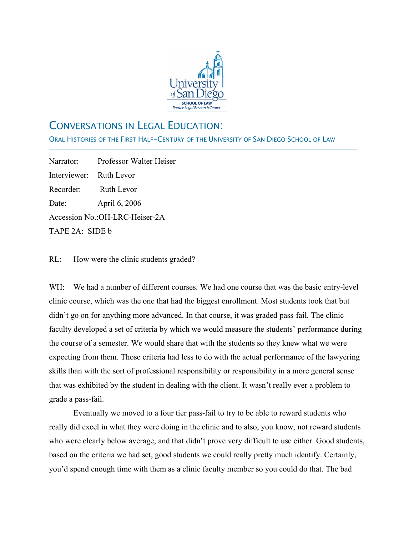

## CONVERSATIONS IN LEGAL EDUCATION:

ORAL HISTORIES OF THE FIRST HALF-CENTURY OF THE UNIVERSITY OF SAN DIEGO SCHOOL OF LAW

Narrator: Professor Walter Heiser Interviewer: Ruth Levor Recorder: Ruth Levor Date: April 6, 2006 Accession No.:OH-LRC-Heiser-2A TAPE 2A: SIDE b

j

RL: How were the clinic students graded?

WH: We had a number of different courses. We had one course that was the basic entry-level clinic course, which was the one that had the biggest enrollment. Most students took that but didn't go on for anything more advanced. In that course, it was graded pass-fail. The clinic faculty developed a set of criteria by which we would measure the students' performance during the course of a semester. We would share that with the students so they knew what we were expecting from them. Those criteria had less to do with the actual performance of the lawyering skills than with the sort of professional responsibility or responsibility in a more general sense that was exhibited by the student in dealing with the client. It wasn't really ever a problem to grade a pass-fail.

Eventually we moved to a four tier pass-fail to try to be able to reward students who really did excel in what they were doing in the clinic and to also, you know, not reward students who were clearly below average, and that didn't prove very difficult to use either. Good students, based on the criteria we had set, good students we could really pretty much identify. Certainly, you'd spend enough time with them as a clinic faculty member so you could do that. The bad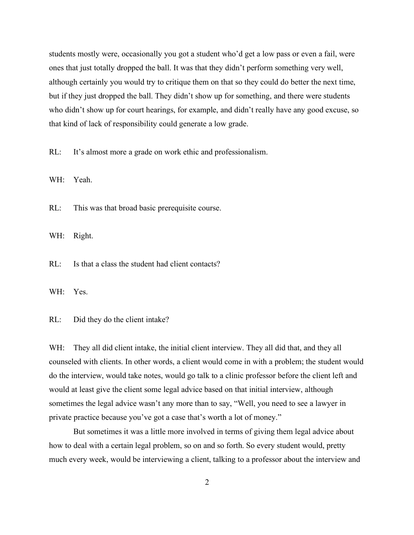students mostly were, occasionally you got a student who'd get a low pass or even a fail, were ones that just totally dropped the ball. It was that they didn't perform something very well, although certainly you would try to critique them on that so they could do better the next time, but if they just dropped the ball. They didn't show up for something, and there were students who didn't show up for court hearings, for example, and didn't really have any good excuse, so that kind of lack of responsibility could generate a low grade.

RL: It's almost more a grade on work ethic and professionalism.

WH: Yeah.

RL: This was that broad basic prerequisite course.

WH: Right.

RL: Is that a class the student had client contacts?

WH: Yes.

RL: Did they do the client intake?

WH: They all did client intake, the initial client interview. They all did that, and they all counseled with clients. In other words, a client would come in with a problem; the student would do the interview, would take notes, would go talk to a clinic professor before the client left and would at least give the client some legal advice based on that initial interview, although sometimes the legal advice wasn't any more than to say, "Well, you need to see a lawyer in private practice because you've got a case that's worth a lot of money."

But sometimes it was a little more involved in terms of giving them legal advice about how to deal with a certain legal problem, so on and so forth. So every student would, pretty much every week, would be interviewing a client, talking to a professor about the interview and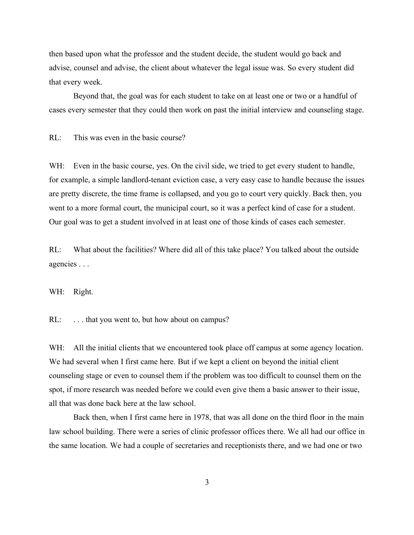then based upon what the professor and the student decide, the student would go back and advise, counsel and advise, the client about whatever the legal issue was. So every student did that every week.

Beyond that, the goal was for each student to take on at least one or two or a handful of cases every semester that they could then work on past the initial interview and counseling stage.

RL: This was even in the basic course?

WH: Even in the basic course, yes. On the civil side, we tried to get every student to handle, for example, a simple landlord-tenant eviction case, a very easy case to handle because the issues are pretty discrete, the time frame is collapsed, and you go to court very quickly. Back then, you went to a more formal court, the municipal court, so it was a perfect kind of case for a student. Our goal was to get a student involved in at least one of those kinds of cases each semester.

RL: What about the facilities? Where did all of this take place? You talked about the outside agencies . . .

WH: Right.

RL: ... that you went to, but how about on campus?

WH: All the initial clients that we encountered took place off campus at some agency location. We had several when I first came here. But if we kept a client on beyond the initial client counseling stage or even to counsel them if the problem was too difficult to counsel them on the spot, if more research was needed before we could even give them a basic answer to their issue, all that was done back here at the law school.

Back then, when I first came here in 1978, that was all done on the third floor in the main law school building. There were a series of clinic professor offices there. We all had our office in the same location. We had a couple of secretaries and receptionists there, and we had one or two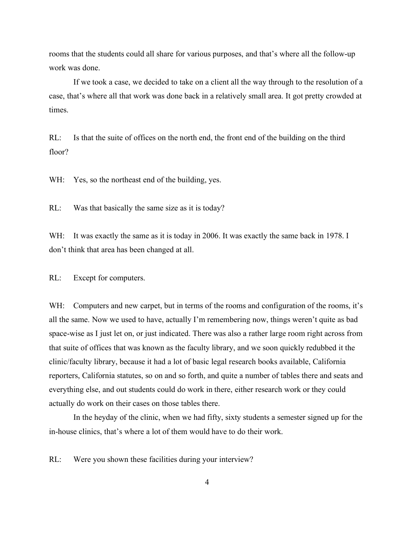rooms that the students could all share for various purposes, and that's where all the follow-up work was done.

If we took a case, we decided to take on a client all the way through to the resolution of a case, that's where all that work was done back in a relatively small area. It got pretty crowded at times.

RL: Is that the suite of offices on the north end, the front end of the building on the third floor?

WH: Yes, so the northeast end of the building, yes.

RL: Was that basically the same size as it is today?

WH: It was exactly the same as it is today in 2006. It was exactly the same back in 1978. I don't think that area has been changed at all.

RL: Except for computers.

WH: Computers and new carpet, but in terms of the rooms and configuration of the rooms, it's all the same. Now we used to have, actually I'm remembering now, things weren't quite as bad space-wise as I just let on, or just indicated. There was also a rather large room right across from that suite of offices that was known as the faculty library, and we soon quickly redubbed it the clinic/faculty library, because it had a lot of basic legal research books available, California reporters, California statutes, so on and so forth, and quite a number of tables there and seats and everything else, and out students could do work in there, either research work or they could actually do work on their cases on those tables there.

In the heyday of the clinic, when we had fifty, sixty students a semester signed up for the in-house clinics, that's where a lot of them would have to do their work.

RL: Were you shown these facilities during your interview?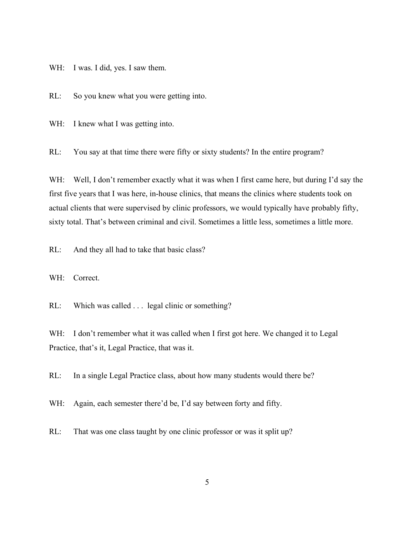WH: I was. I did, yes. I saw them.

RL: So you knew what you were getting into.

WH: I knew what I was getting into.

RL: You say at that time there were fifty or sixty students? In the entire program?

WH: Well, I don't remember exactly what it was when I first came here, but during I'd say the first five years that I was here, in-house clinics, that means the clinics where students took on actual clients that were supervised by clinic professors, we would typically have probably fifty, sixty total. That's between criminal and civil. Sometimes a little less, sometimes a little more.

RL: And they all had to take that basic class?

WH: Correct.

RL: Which was called . . . legal clinic or something?

WH: I don't remember what it was called when I first got here. We changed it to Legal Practice, that's it, Legal Practice, that was it.

RL: In a single Legal Practice class, about how many students would there be?

WH: Again, each semester there'd be, I'd say between forty and fifty.

RL: That was one class taught by one clinic professor or was it split up?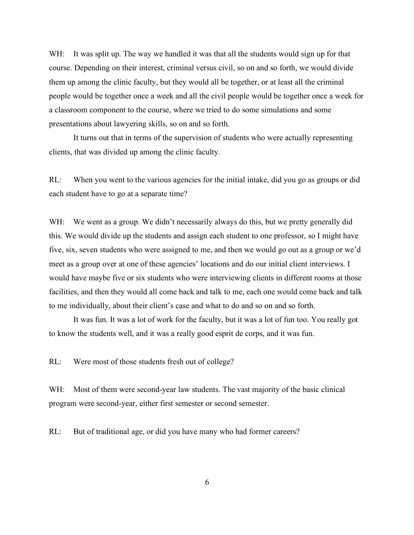WH: It was split up. The way we handled it was that all the students would sign up for that course. Depending on their interest, criminal versus civil, so on and so forth, we would divide them up among the clinic faculty, but they would all be together, or at least all the criminal people would be together once a week and all the civil people would be together once a week for a classroom component to the course, where we tried to do some simulations and some presentations about lawyering skills, so on and so forth.

It turns out that in terms of the supervision of students who were actually representing clients, that was divided up among the clinic faculty.

RL: When you went to the various agencies for the initial intake, did you go as groups or did each student have to go at a separate time?

WH: We went as a group. We didn't necessarily always do this, but we pretty generally did this. We would divide up the students and assign each student to one professor, so I might have five, six, seven students who were assigned to me, and then we would go out as a group or we'd meet as a group over at one of these agencies' locations and do our initial client interviews. I would have maybe five or six students who were interviewing clients in different rooms at those facilities, and then they would all come back and talk to me, each one would come back and talk to me individually, about their client's case and what to do and so on and so forth.

It was fun. It was a lot of work for the faculty, but it was a lot of fun too. You really got to know the students well, and it was a really good esprit de corps, and it was fun.

RL: Were most of those students fresh out of college?

WH: Most of them were second-year law students. The vast majority of the basic clinical program were second-year, either first semester or second semester.

RL: But of traditional age, or did you have many who had former careers?

6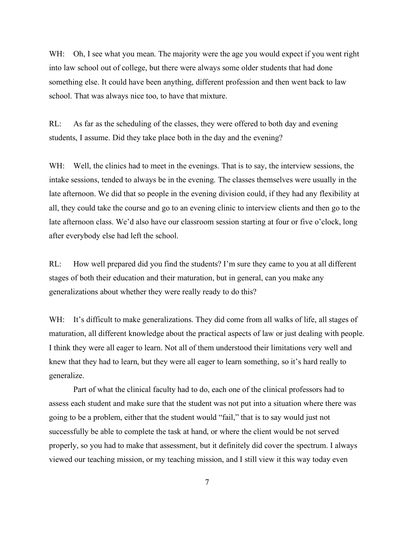WH: Oh, I see what you mean. The majority were the age you would expect if you went right into law school out of college, but there were always some older students that had done something else. It could have been anything, different profession and then went back to law school. That was always nice too, to have that mixture.

RL: As far as the scheduling of the classes, they were offered to both day and evening students, I assume. Did they take place both in the day and the evening?

WH: Well, the clinics had to meet in the evenings. That is to say, the interview sessions, the intake sessions, tended to always be in the evening. The classes themselves were usually in the late afternoon. We did that so people in the evening division could, if they had any flexibility at all, they could take the course and go to an evening clinic to interview clients and then go to the late afternoon class. We'd also have our classroom session starting at four or five o'clock, long after everybody else had left the school.

RL: How well prepared did you find the students? I'm sure they came to you at all different stages of both their education and their maturation, but in general, can you make any generalizations about whether they were really ready to do this?

WH: It's difficult to make generalizations. They did come from all walks of life, all stages of maturation, all different knowledge about the practical aspects of law or just dealing with people. I think they were all eager to learn. Not all of them understood their limitations very well and knew that they had to learn, but they were all eager to learn something, so it's hard really to generalize.

Part of what the clinical faculty had to do, each one of the clinical professors had to assess each student and make sure that the student was not put into a situation where there was going to be a problem, either that the student would "fail," that is to say would just not successfully be able to complete the task at hand, or where the client would be not served properly, so you had to make that assessment, but it definitely did cover the spectrum. I always viewed our teaching mission, or my teaching mission, and I still view it this way today even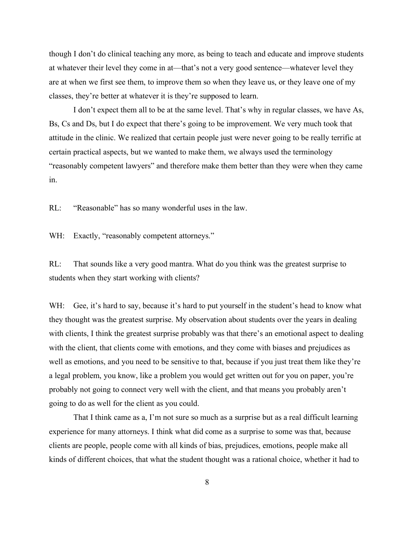though I don't do clinical teaching any more, as being to teach and educate and improve students at whatever their level they come in at—that's not a very good sentence—whatever level they are at when we first see them, to improve them so when they leave us, or they leave one of my classes, they're better at whatever it is they're supposed to learn.

I don't expect them all to be at the same level. That's why in regular classes, we have As, Bs, Cs and Ds, but I do expect that there's going to be improvement. We very much took that attitude in the clinic. We realized that certain people just were never going to be really terrific at certain practical aspects, but we wanted to make them, we always used the terminology "reasonably competent lawyers" and therefore make them better than they were when they came in.

RL: "Reasonable" has so many wonderful uses in the law.

WH: Exactly, "reasonably competent attorneys."

RL: That sounds like a very good mantra. What do you think was the greatest surprise to students when they start working with clients?

WH: Gee, it's hard to say, because it's hard to put yourself in the student's head to know what they thought was the greatest surprise. My observation about students over the years in dealing with clients, I think the greatest surprise probably was that there's an emotional aspect to dealing with the client, that clients come with emotions, and they come with biases and prejudices as well as emotions, and you need to be sensitive to that, because if you just treat them like they're a legal problem, you know, like a problem you would get written out for you on paper, you're probably not going to connect very well with the client, and that means you probably aren't going to do as well for the client as you could.

That I think came as a, I'm not sure so much as a surprise but as a real difficult learning experience for many attorneys. I think what did come as a surprise to some was that, because clients are people, people come with all kinds of bias, prejudices, emotions, people make all kinds of different choices, that what the student thought was a rational choice, whether it had to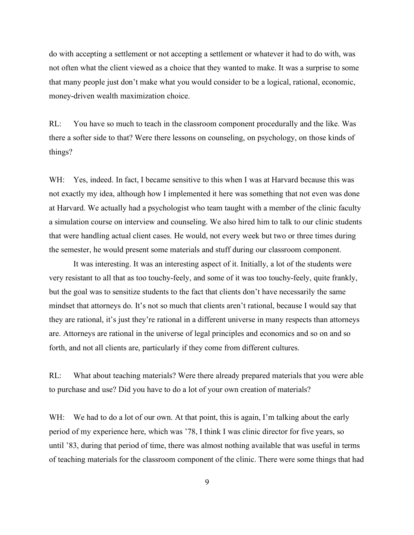do with accepting a settlement or not accepting a settlement or whatever it had to do with, was not often what the client viewed as a choice that they wanted to make. It was a surprise to some that many people just don't make what you would consider to be a logical, rational, economic, money-driven wealth maximization choice.

RL: You have so much to teach in the classroom component procedurally and the like. Was there a softer side to that? Were there lessons on counseling, on psychology, on those kinds of things?

WH: Yes, indeed. In fact, I became sensitive to this when I was at Harvard because this was not exactly my idea, although how I implemented it here was something that not even was done at Harvard. We actually had a psychologist who team taught with a member of the clinic faculty a simulation course on interview and counseling. We also hired him to talk to our clinic students that were handling actual client cases. He would, not every week but two or three times during the semester, he would present some materials and stuff during our classroom component.

It was interesting. It was an interesting aspect of it. Initially, a lot of the students were very resistant to all that as too touchy-feely, and some of it was too touchy-feely, quite frankly, but the goal was to sensitize students to the fact that clients don't have necessarily the same mindset that attorneys do. It's not so much that clients aren't rational, because I would say that they are rational, it's just they're rational in a different universe in many respects than attorneys are. Attorneys are rational in the universe of legal principles and economics and so on and so forth, and not all clients are, particularly if they come from different cultures.

RL: What about teaching materials? Were there already prepared materials that you were able to purchase and use? Did you have to do a lot of your own creation of materials?

WH: We had to do a lot of our own. At that point, this is again, I'm talking about the early period of my experience here, which was '78, I think I was clinic director for five years, so until '83, during that period of time, there was almost nothing available that was useful in terms of teaching materials for the classroom component of the clinic. There were some things that had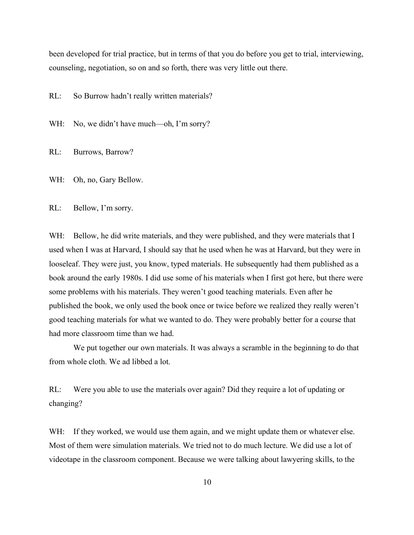been developed for trial practice, but in terms of that you do before you get to trial, interviewing, counseling, negotiation, so on and so forth, there was very little out there.

RL: So Burrow hadn't really written materials?

WH: No, we didn't have much—oh, I'm sorry?

RL: Burrows, Barrow?

WH: Oh, no, Gary Bellow.

RL: Bellow, I'm sorry.

WH: Bellow, he did write materials, and they were published, and they were materials that I used when I was at Harvard, I should say that he used when he was at Harvard, but they were in looseleaf. They were just, you know, typed materials. He subsequently had them published as a book around the early 1980s. I did use some of his materials when I first got here, but there were some problems with his materials. They weren't good teaching materials. Even after he published the book, we only used the book once or twice before we realized they really weren't good teaching materials for what we wanted to do. They were probably better for a course that had more classroom time than we had.

We put together our own materials. It was always a scramble in the beginning to do that from whole cloth. We ad libbed a lot.

RL: Were you able to use the materials over again? Did they require a lot of updating or changing?

WH: If they worked, we would use them again, and we might update them or whatever else. Most of them were simulation materials. We tried not to do much lecture. We did use a lot of videotape in the classroom component. Because we were talking about lawyering skills, to the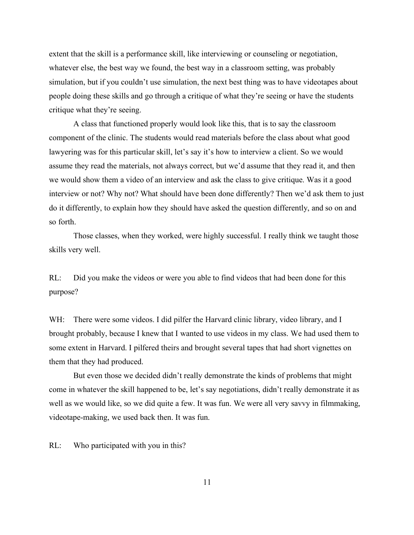extent that the skill is a performance skill, like interviewing or counseling or negotiation, whatever else, the best way we found, the best way in a classroom setting, was probably simulation, but if you couldn't use simulation, the next best thing was to have videotapes about people doing these skills and go through a critique of what they're seeing or have the students critique what they're seeing.

A class that functioned properly would look like this, that is to say the classroom component of the clinic. The students would read materials before the class about what good lawyering was for this particular skill, let's say it's how to interview a client. So we would assume they read the materials, not always correct, but we'd assume that they read it, and then we would show them a video of an interview and ask the class to give critique. Was it a good interview or not? Why not? What should have been done differently? Then we'd ask them to just do it differently, to explain how they should have asked the question differently, and so on and so forth.

Those classes, when they worked, were highly successful. I really think we taught those skills very well.

RL: Did you make the videos or were you able to find videos that had been done for this purpose?

WH: There were some videos. I did pilfer the Harvard clinic library, video library, and I brought probably, because I knew that I wanted to use videos in my class. We had used them to some extent in Harvard. I pilfered theirs and brought several tapes that had short vignettes on them that they had produced.

But even those we decided didn't really demonstrate the kinds of problems that might come in whatever the skill happened to be, let's say negotiations, didn't really demonstrate it as well as we would like, so we did quite a few. It was fun. We were all very savvy in filmmaking, videotape-making, we used back then. It was fun.

RL: Who participated with you in this?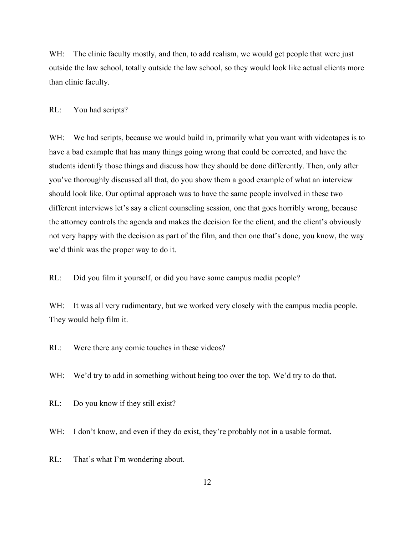WH: The clinic faculty mostly, and then, to add realism, we would get people that were just outside the law school, totally outside the law school, so they would look like actual clients more than clinic faculty.

#### RL: You had scripts?

WH: We had scripts, because we would build in, primarily what you want with videotapes is to have a bad example that has many things going wrong that could be corrected, and have the students identify those things and discuss how they should be done differently. Then, only after you've thoroughly discussed all that, do you show them a good example of what an interview should look like. Our optimal approach was to have the same people involved in these two different interviews let's say a client counseling session, one that goes horribly wrong, because the attorney controls the agenda and makes the decision for the client, and the client's obviously not very happy with the decision as part of the film, and then one that's done, you know, the way we'd think was the proper way to do it.

RL: Did you film it yourself, or did you have some campus media people?

WH: It was all very rudimentary, but we worked very closely with the campus media people. They would help film it.

RL: Were there any comic touches in these videos?

WH: We'd try to add in something without being too over the top. We'd try to do that.

RL: Do you know if they still exist?

WH: I don't know, and even if they do exist, they're probably not in a usable format.

RL: That's what I'm wondering about.